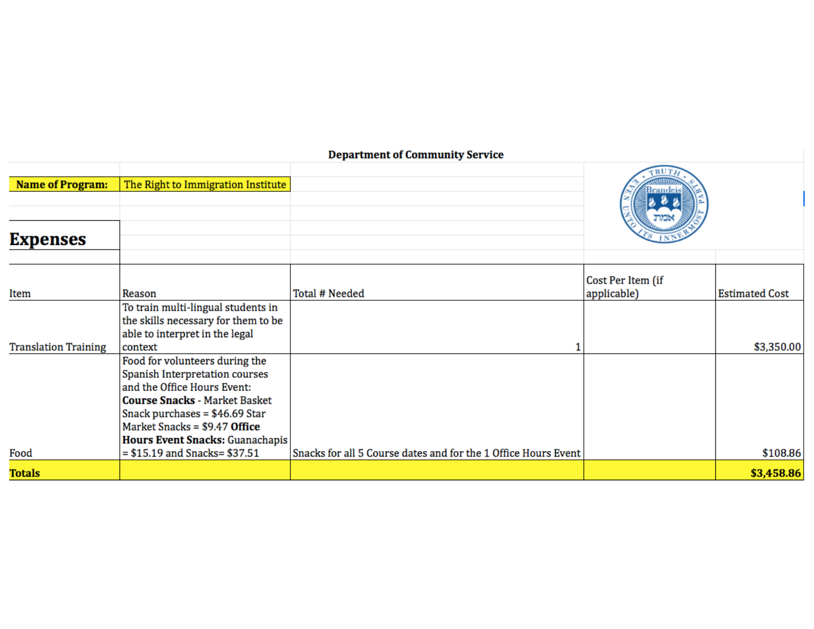# **Department of Community Service**

| <b>Name of Program:</b><br><b>Expenses</b> | The Right to Immigration Institute                                                                                                                                                                                                             |                                                                | TRUTA             |                       |
|--------------------------------------------|------------------------------------------------------------------------------------------------------------------------------------------------------------------------------------------------------------------------------------------------|----------------------------------------------------------------|-------------------|-----------------------|
|                                            |                                                                                                                                                                                                                                                |                                                                | Cost Per Item (if |                       |
| Item                                       | Reason                                                                                                                                                                                                                                         | Total # Needed                                                 | applicable)       | <b>Estimated Cost</b> |
|                                            | To train multi-lingual students in<br>the skills necessary for them to be<br>able to interpret in the legal                                                                                                                                    |                                                                |                   |                       |
| <b>Translation Training</b>                | context                                                                                                                                                                                                                                        |                                                                |                   | \$3,350.00            |
|                                            | Food for volunteers during the<br>Spanish Interpretation courses<br>and the Office Hours Event:<br><b>Course Snacks - Market Basket</b><br>Snack purchases = $$46.69$ Star<br>Market Snacks = \$9.47 Office<br>Hours Event Snacks: Guanachapis |                                                                |                   |                       |
| Food                                       | $= $15.19$ and Snacks= $ $37.51$                                                                                                                                                                                                               | Snacks for all 5 Course dates and for the 1 Office Hours Event |                   | \$108.86              |
| <b>Totals</b>                              |                                                                                                                                                                                                                                                |                                                                |                   | \$3,458.86            |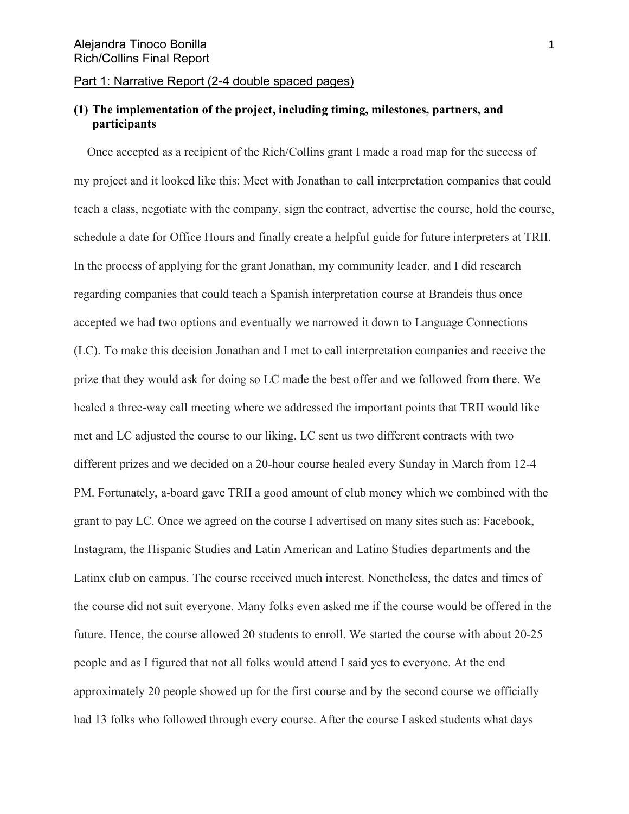#### Part 1: Narrative Report (2-4 double spaced pages)

# **(1) The implementation of the project, including timing, milestones, partners, and participants**

Once accepted as a recipient of the Rich/Collins grant I made a road map for the success of my project and it looked like this: Meet with Jonathan to call interpretation companies that could teach a class, negotiate with the company, sign the contract, advertise the course, hold the course, schedule a date for Office Hours and finally create a helpful guide for future interpreters at TRII. In the process of applying for the grant Jonathan, my community leader, and I did research regarding companies that could teach a Spanish interpretation course at Brandeis thus once accepted we had two options and eventually we narrowed it down to Language Connections (LC). To make this decision Jonathan and I met to call interpretation companies and receive the prize that they would ask for doing so LC made the best offer and we followed from there. We healed a three-way call meeting where we addressed the important points that TRII would like met and LC adjusted the course to our liking. LC sent us two different contracts with two different prizes and we decided on a 20-hour course healed every Sunday in March from 12-4 PM. Fortunately, a-board gave TRII a good amount of club money which we combined with the grant to pay LC. Once we agreed on the course I advertised on many sites such as: Facebook, Instagram, the Hispanic Studies and Latin American and Latino Studies departments and the Latinx club on campus. The course received much interest. Nonetheless, the dates and times of the course did not suit everyone. Many folks even asked me if the course would be offered in the future. Hence, the course allowed 20 students to enroll. We started the course with about 20-25 people and as I figured that not all folks would attend I said yes to everyone. At the end approximately 20 people showed up for the first course and by the second course we officially had 13 folks who followed through every course. After the course I asked students what days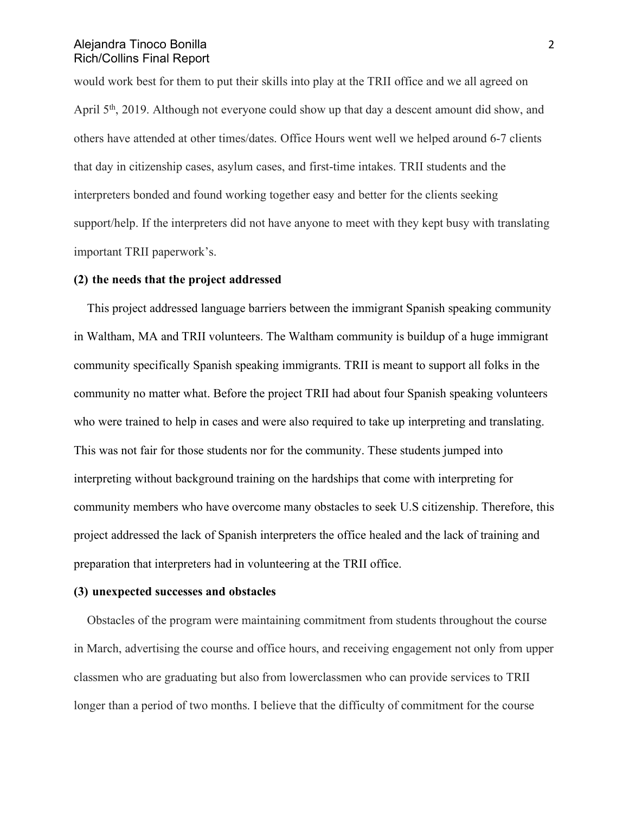would work best for them to put their skills into play at the TRII office and we all agreed on April 5<sup>th</sup>, 2019. Although not everyone could show up that day a descent amount did show, and others have attended at other times/dates. Office Hours went well we helped around 6-7 clients that day in citizenship cases, asylum cases, and first-time intakes. TRII students and the interpreters bonded and found working together easy and better for the clients seeking support/help. If the interpreters did not have anyone to meet with they kept busy with translating important TRII paperwork's.

#### **(2) the needs that the project addressed**

This project addressed language barriers between the immigrant Spanish speaking community in Waltham, MA and TRII volunteers. The Waltham community is buildup of a huge immigrant community specifically Spanish speaking immigrants. TRII is meant to support all folks in the community no matter what. Before the project TRII had about four Spanish speaking volunteers who were trained to help in cases and were also required to take up interpreting and translating. This was not fair for those students nor for the community. These students jumped into interpreting without background training on the hardships that come with interpreting for community members who have overcome many obstacles to seek U.S citizenship. Therefore, this project addressed the lack of Spanish interpreters the office healed and the lack of training and preparation that interpreters had in volunteering at the TRII office.

#### **(3) unexpected successes and obstacles**

Obstacles of the program were maintaining commitment from students throughout the course in March, advertising the course and office hours, and receiving engagement not only from upper classmen who are graduating but also from lowerclassmen who can provide services to TRII longer than a period of two months. I believe that the difficulty of commitment for the course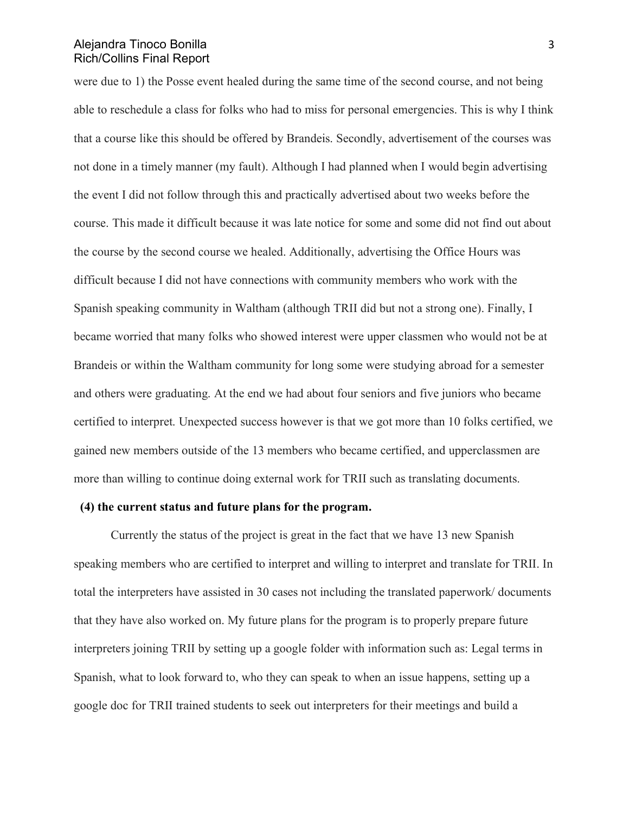were due to 1) the Posse event healed during the same time of the second course, and not being able to reschedule a class for folks who had to miss for personal emergencies. This is why I think that a course like this should be offered by Brandeis. Secondly, advertisement of the courses was not done in a timely manner (my fault). Although I had planned when I would begin advertising the event I did not follow through this and practically advertised about two weeks before the course. This made it difficult because it was late notice for some and some did not find out about the course by the second course we healed. Additionally, advertising the Office Hours was difficult because I did not have connections with community members who work with the Spanish speaking community in Waltham (although TRII did but not a strong one). Finally, I became worried that many folks who showed interest were upper classmen who would not be at Brandeis or within the Waltham community for long some were studying abroad for a semester and others were graduating. At the end we had about four seniors and five juniors who became certified to interpret. Unexpected success however is that we got more than 10 folks certified, we gained new members outside of the 13 members who became certified, and upperclassmen are more than willing to continue doing external work for TRII such as translating documents.

#### **(4) the current status and future plans for the program.**

Currently the status of the project is great in the fact that we have 13 new Spanish speaking members who are certified to interpret and willing to interpret and translate for TRII. In total the interpreters have assisted in 30 cases not including the translated paperwork/ documents that they have also worked on. My future plans for the program is to properly prepare future interpreters joining TRII by setting up a google folder with information such as: Legal terms in Spanish, what to look forward to, who they can speak to when an issue happens, setting up a google doc for TRII trained students to seek out interpreters for their meetings and build a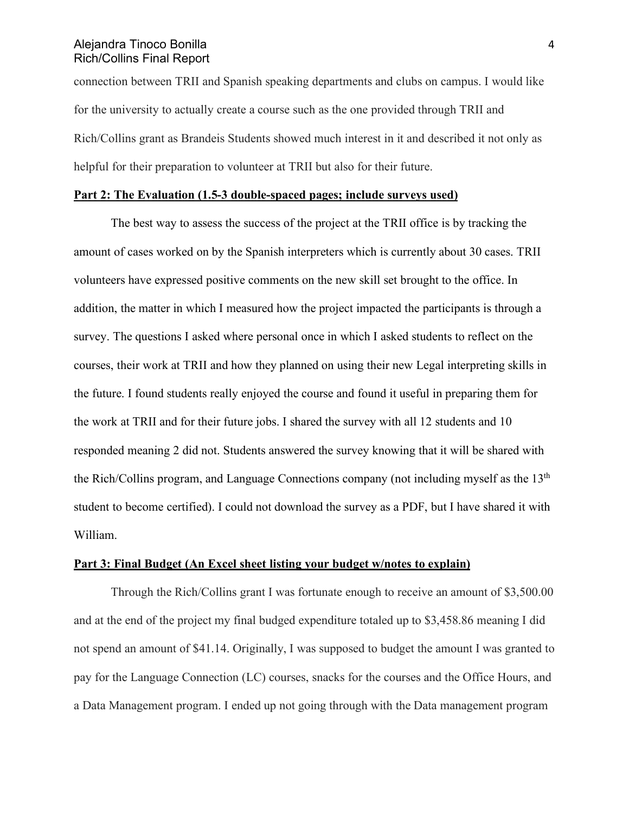connection between TRII and Spanish speaking departments and clubs on campus. I would like for the university to actually create a course such as the one provided through TRII and Rich/Collins grant as Brandeis Students showed much interest in it and described it not only as helpful for their preparation to volunteer at TRII but also for their future.

# **Part 2: The Evaluation (1.5-3 double-spaced pages; include surveys used)**

The best way to assess the success of the project at the TRII office is by tracking the amount of cases worked on by the Spanish interpreters which is currently about 30 cases. TRII volunteers have expressed positive comments on the new skill set brought to the office. In addition, the matter in which I measured how the project impacted the participants is through a survey. The questions I asked where personal once in which I asked students to reflect on the courses, their work at TRII and how they planned on using their new Legal interpreting skills in the future. I found students really enjoyed the course and found it useful in preparing them for the work at TRII and for their future jobs. I shared the survey with all 12 students and 10 responded meaning 2 did not. Students answered the survey knowing that it will be shared with the Rich/Collins program, and Language Connections company (not including myself as the  $13<sup>th</sup>$ student to become certified). I could not download the survey as a PDF, but I have shared it with William.

#### **Part 3: Final Budget (An Excel sheet listing your budget w/notes to explain)**

Through the Rich/Collins grant I was fortunate enough to receive an amount of \$3,500.00 and at the end of the project my final budged expenditure totaled up to \$3,458.86 meaning I did not spend an amount of \$41.14. Originally, I was supposed to budget the amount I was granted to pay for the Language Connection (LC) courses, snacks for the courses and the Office Hours, and a Data Management program. I ended up not going through with the Data management program